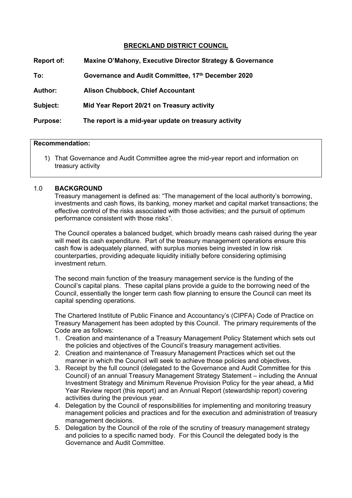# **BRECKLAND DISTRICT COUNCIL**

| Report of:      | Maxine O'Mahony, Executive Director Strategy & Governance |
|-----------------|-----------------------------------------------------------|
| To:             | Governance and Audit Committee, 17th December 2020        |
| <b>Author:</b>  | <b>Alison Chubbock, Chief Accountant</b>                  |
| Subject:        | Mid Year Report 20/21 on Treasury activity                |
| <b>Purpose:</b> | The report is a mid-year update on treasury activity      |
|                 |                                                           |

#### **Recommendation:**

1) That Governance and Audit Committee agree the mid-year report and information on treasury activity

#### 1.0 **BACKGROUND**

Treasury management is defined as: "The management of the local authority's borrowing, investments and cash flows, its banking, money market and capital market transactions; the effective control of the risks associated with those activities; and the pursuit of optimum performance consistent with those risks".

The Council operates a balanced budget, which broadly means cash raised during the year will meet its cash expenditure. Part of the treasury management operations ensure this cash flow is adequately planned, with surplus monies being invested in low risk counterparties, providing adequate liquidity initially before considering optimising investment return.

The second main function of the treasury management service is the funding of the Council's capital plans. These capital plans provide a guide to the borrowing need of the Council, essentially the longer term cash flow planning to ensure the Council can meet its capital spending operations.

The Chartered Institute of Public Finance and Accountancy's (CIPFA) Code of Practice on Treasury Management has been adopted by this Council. The primary requirements of the Code are as follows:

- 1. Creation and maintenance of a Treasury Management Policy Statement which sets out the policies and objectives of the Council's treasury management activities.
- 2. Creation and maintenance of Treasury Management Practices which set out the manner in which the Council will seek to achieve those policies and objectives.
- 3. Receipt by the full council (delegated to the Governance and Audit Committee for this Council) of an annual Treasury Management Strategy Statement – including the Annual Investment Strategy and Minimum Revenue Provision Policy for the year ahead, a Mid Year Review report (this report) and an Annual Report (stewardship report) covering activities during the previous year.
- 4. Delegation by the Council of responsibilities for implementing and monitoring treasury management policies and practices and for the execution and administration of treasury management decisions.
- 5. Delegation by the Council of the role of the scrutiny of treasury management strategy and policies to a specific named body. For this Council the delegated body is the Governance and Audit Committee.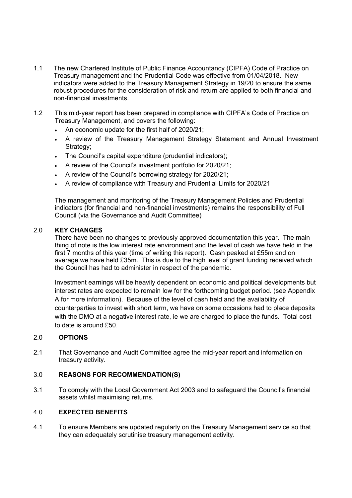- 1.1 The new Chartered Institute of Public Finance Accountancy (CIPFA) Code of Practice on Treasury management and the Prudential Code was effective from 01/04/2018. New indicators were added to the Treasury Management Strategy in 19/20 to ensure the same robust procedures for the consideration of risk and return are applied to both financial and non-financial investments.
- 1.2 This mid-year report has been prepared in compliance with CIPFA's Code of Practice on Treasury Management, and covers the following:
	- An economic update for the first half of 2020/21;
	- A review of the Treasury Management Strategy Statement and Annual Investment Strategy;
	- The Council's capital expenditure (prudential indicators);
	- A review of the Council's investment portfolio for 2020/21;
	- A review of the Council's borrowing strategy for 2020/21;
	- A review of compliance with Treasury and Prudential Limits for 2020/21

The management and monitoring of the Treasury Management Policies and Prudential indicators (for financial and non-financial investments) remains the responsibility of Full Council (via the Governance and Audit Committee)

## 2.0 **KEY CHANGES**

There have been no changes to previously approved documentation this year. The main thing of note is the low interest rate environment and the level of cash we have held in the first 7 months of this year (time of writing this report). Cash peaked at £55m and on average we have held £35m. This is due to the high level of grant funding received which the Council has had to administer in respect of the pandemic.

Investment earnings will be heavily dependent on economic and political developments but interest rates are expected to remain low for the forthcoming budget period. (see Appendix A for more information). Because of the level of cash held and the availability of counterparties to invest with short term, we have on some occasions had to place deposits with the DMO at a negative interest rate, ie we are charged to place the funds. Total cost to date is around £50.

## 2.0 **OPTIONS**

2.1 That Governance and Audit Committee agree the mid-year report and information on treasury activity.

## 3.0 **REASONS FOR RECOMMENDATION(S)**

3.1 To comply with the Local Government Act 2003 and to safeguard the Council's financial assets whilst maximising returns.

## 4.0 **EXPECTED BENEFITS**

4.1 To ensure Members are updated regularly on the Treasury Management service so that they can adequately scrutinise treasury management activity.